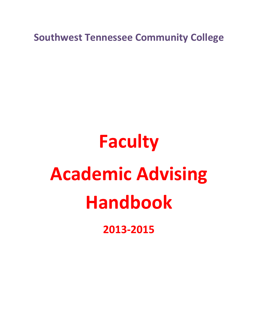**Southwest Tennessee Community College**

# **Faculty Academic Advising Handbook**

**2013-2015**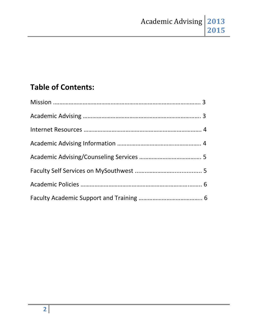## **Table of Contents:**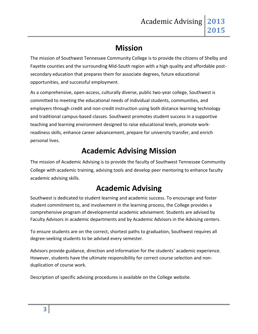#### **Mission**

The mission of Southwest Tennessee Community College is to provide the citizens of Shelby and Fayette counties and the surrounding Mid-South region with a high quality and affordable postsecondary education that prepares them for associate degrees, future educational opportunities, and successful employment.

As a comprehensive, open-access, culturally diverse, public two-year college, Southwest is committed to meeting the educational needs of individual students, communities, and employers through credit and non-credit instruction using both distance learning technology and traditional campus-based classes. Southwest promotes student success in a supportive teaching and learning environment designed to raise educational levels, promote workreadiness skills, enhance career advancement, prepare for university transfer, and enrich personal lives.

## **Academic Advising Mission**

The mission of Academic Advising is to provide the faculty of Southwest Tennessee Community College with academic training, advising tools and develop peer mentoring to enhance faculty academic advising skills.

#### **Academic Advising**

Southwest is dedicated to student learning and academic success. To encourage and foster student commitment to, and involvement in the learning process, the College provides a comprehensive program of developmental academic advisement. Students are advised by Faculty Advisors in academic departments and by Academic Advisors in the Advising centers.

To ensure students are on the correct, shortest paths to graduation, Southwest requires all degree-seeking students to be advised every semester.

Advisors provide guidance, direction and information for the students' academic experience. However, students have the ultimate responsibility for correct course selection and nonduplication of course work.

Description of specific advising procedures is available on the College website.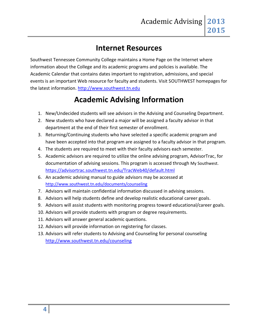#### **Internet Resources**

Southwest Tennessee Community College maintains a Home Page on the Internet where information about the College and its academic programs and policies is available. The Academic Calendar that contains dates important to registration, admissions, and special events is an important Web resource for faculty and students. Visit SOUTHWEST homepages for the latest information. [http://www.southwest.tn.edu](http://www.southwest.tn.edu/)

#### **Academic Advising Information**

- 1. New/Undecided students will see advisors in the Advising and Counseling Department.
- 2. New students who have declared a major will be assigned a faculty advisor in that department at the end of their first semester of enrollment.
- 3. Returning/Continuing students who have selected a specific academic program and have been accepted into that program are assigned to a faculty advisor in that program.
- 4. The students are required to meet with their faculty advisors each semester.
- 5. Academic advisors are required to utilize the online advising program, AdvisorTrac, for documentation of advising sessions. This program is accessed through My Southwest. <https://advisortrac.southwest.tn.edu/TracWeb40/default.html>
- 6. An academic advising manual to guide advisors may be accessed at <http://www.southwest.tn.edu/documents/counseling>
- 7. Advisors will maintain confidential information discussed in advising sessions.
- 8. Advisors will help students define and develop realistic educational career goals.
- 9. Advisors will assist students with monitoring progress toward educational/career goals.
- 10. Advisors will provide students with program or degree requirements.
- 11. Advisors will answer general academic questions.
- 12. Advisors will provide information on registering for classes.
- 13. Advisors will refer students to Advising and Counseling for personal counseling <http://www.southwest.tn.edu/counseling>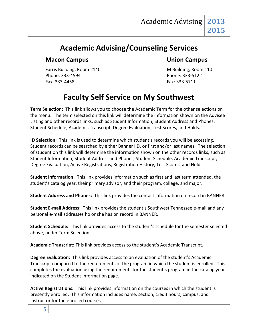#### **Academic Advising/Counseling Services**

#### **Macon Campus Union Campus**

Farris Building, Room 2140 M Building, Room 110 Phone: 333-4594 Phone: 333-5122 Fax: 333-4458 Fax: 333-5711

#### **Faculty Self Service on My Southwest**

**Term Selection:** This link allows you to choose the Academic Term for the other selections on the menu. The term selected on this link will determine the information shown on the Advisee Listing and other records links, such as Student Information, Student Address and Phones, Student Schedule, Academic Transcript, Degree Evaluation, Test Scores, and Holds.

**ID Selection:** This link is used to determine which student's records you will be accessing. Student records can be searched by either Banner I.D. or first and/or last names. The selection of student on this link will determine the information shown on the other records links, such as Student Information, Student Address and Phones, Student Schedule, Academic Transcript, Degree Evaluation, Active Registrations, Registration History, Test Scores, and Holds.

**Student Information:** This link provides information such as first and last term attended, the student's catalog year, their primary advisor, and their program, college, and major.

**Student Address and Phones:** This link provides the contact information on record in BANNER.

**Student E-mail Address:** This link provides the student's Southwest Tennessee e-mail and any personal e-mail addresses ho or she has on record in BANNER.

**Student Schedule:** This link provides access to the student's schedule for the semester selected above, under Term Selection.

**Academic Transcript:** This link provides access to the student's Academic Transcript.

**Degree Evaluation:** This link provides access to an evaluation of the student's Academic Transcript compared to the requirements of the program in which the student is enrolled. This completes the evaluation using the requirements for the student's program in the catalog year indicated on the Student Information page.

**Active Registrations:** This link provides information on the courses in which the student is presently enrolled. This information includes name, section, credit hours, campus, and instructor for the enrolled courses.